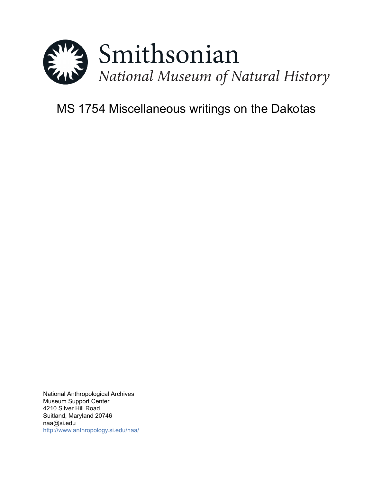

# MS 1754 Miscellaneous writings on the Dakotas

National Anthropological Archives Museum Support Center 4210 Silver Hill Road Suitland, Maryland 20746 naa@si.edu <http://www.anthropology.si.edu/naa/>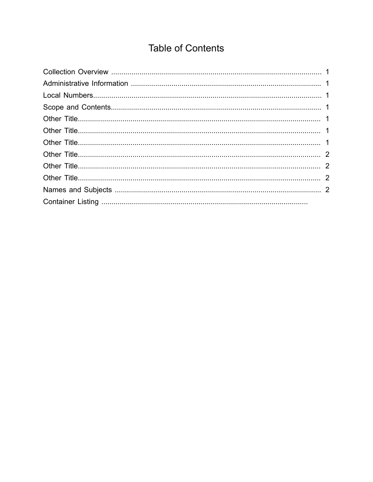## **Table of Contents**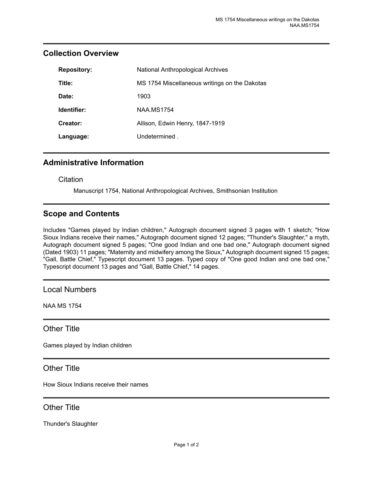| <b>Repository:</b> | National Anthropological Archives             |
|--------------------|-----------------------------------------------|
| Title:             | MS 1754 Miscellaneous writings on the Dakotas |
| Date:              | 1903                                          |
| Identifier:        | <b>NAA MS1754</b>                             |
| Creator:           | Allison, Edwin Henry, 1847-1919               |
| Language:          | Undetermined.                                 |

#### <span id="page-2-0"></span>**Collection Overview**

#### <span id="page-2-1"></span>**Administrative Information**

**Citation** 

Manuscript 1754, National Anthropological Archives, Smithsonian Institution

## <span id="page-2-3"></span>**Scope and Contents**

Includes "Games played by Indian children," Autograph document signed 3 pages with 1 sketch; "How Sioux Indians receive their names," Autograph document signed 12 pages; "Thunder's Slaughter," a myth, Autograph document signed 5 pages; "One good Indian and one bad one," Autograph document signed (Dated 1903) 11 pages; "Maternity and midwifery among the Sioux," Autograph document signed 15 pages; "Gall, Battle Chief," Typescript document 13 pages. Typed copy of "One good Indian and one bad one," Typescript document 13 pages and "Gall, Battle Chief," 14 pages.

<span id="page-2-2"></span>Local Numbers

NAA MS 1754

<span id="page-2-4"></span>Other Title

Games played by Indian children

<span id="page-2-5"></span>Other Title

How Sioux Indians receive their names

#### <span id="page-2-6"></span>Other Title

Thunder's Slaughter